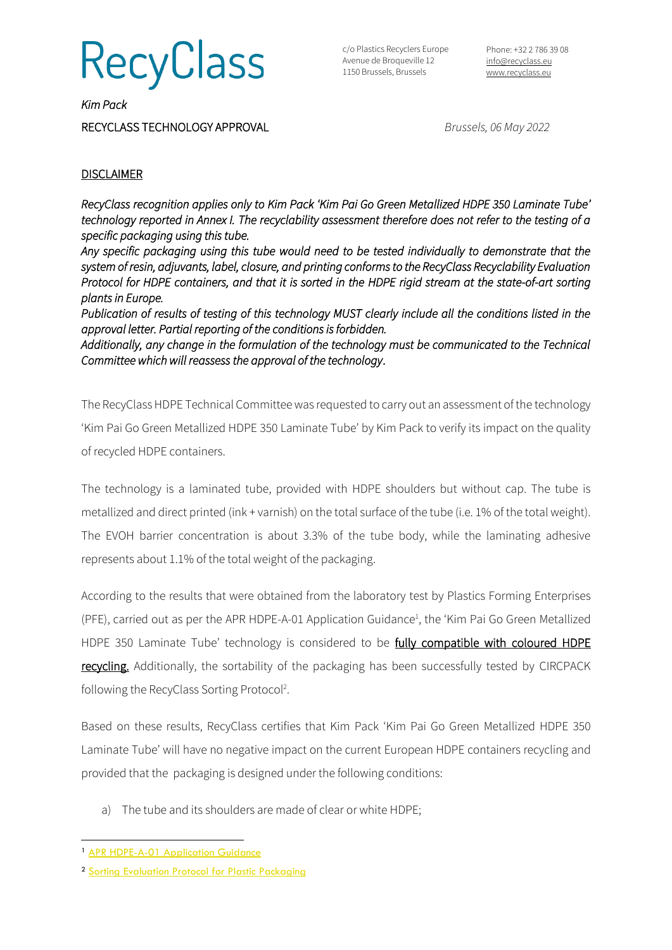**RecyClass** 

c/o Plastics Recyclers Europe Avenue de Broqueville 12 1150 Brussels, Brussels

Phone: +32 2 786 39 08 [info@recyclass.eu](mailto:info@recyclass.eu) [www.recyclass.eu](http://www.recyclass.eu/)

*Kim Pack*  RECYCLASS TECHNOLOGY APPROVAL *Brussels, 06 May 2022*

## **DISCLAIMER**

*RecyClass recognition applies only to Kim Pack 'Kim Pai Go Green Metallized HDPE 350 Laminate Tube' technology reported in Annex I. The recyclability assessment therefore does not refer to the testing of a specific packaging using this tube.* 

*Any specific packaging using this tube would need to be tested individually to demonstrate that the system of resin, adjuvants, label, closure, and printing conforms to the RecyClass Recyclability Evaluation Protocol for HDPE containers, and that it is sorted in the HDPE rigid stream at the state-of-art sorting plants in Europe.* 

*Publication of results of testing of this technology MUST clearly include all the conditions listed in the approval letter. Partial reporting of the conditions is forbidden.* 

*Additionally, any change in the formulation of the technology must be communicated to the Technical Committee which will reassess the approval of the technology*.

The RecyClass HDPE Technical Committee was requested to carry out an assessment of the technology 'Kim Pai Go Green Metallized HDPE 350 Laminate Tube' by Kim Pack to verify its impact on the quality of recycled HDPE containers.

The technology is a laminated tube, provided with HDPE shoulders but without cap. The tube is metallized and direct printed (ink + varnish) on the total surface of the tube (i.e. 1% of the total weight). The EVOH barrier concentration is about 3.3% of the tube body, while the laminating adhesive represents about 1.1% of the total weight of the packaging.

According to the results that were obtained from the laboratory test by Plastics Forming Enterprises (PFE), carried out as per the APR HDPE-A-01 Application Guidance<sup>1</sup>, the 'Kim Pai Go Green Metallized HDPE 350 Laminate Tube' technology is considered to be fully compatible with coloured HDPE recycling. Additionally, the sortability of the packaging has been successfully tested by CIRCPACK following the RecyClass Sorting Protocol<sup>2</sup>.

Based on these results, RecyClass certifies that Kim Pack 'Kim Pai Go Green Metallized HDPE 350 Laminate Tube' will have no negative impact on the current European HDPE containers recycling and provided that the packaging is designed under the following conditions:

a) The tube and its shoulders are made of clear or white HDPE;

<sup>&</sup>lt;sup>1</sup> [APR HDPE-A-01 Application Guidance](https://plasticsrecycling.org/hdpe-test-methods)

<sup>2</sup> Sorting Evaluation [Protocol for Plastic Packaging](https://recyclass.eu/recyclability/test-methods/)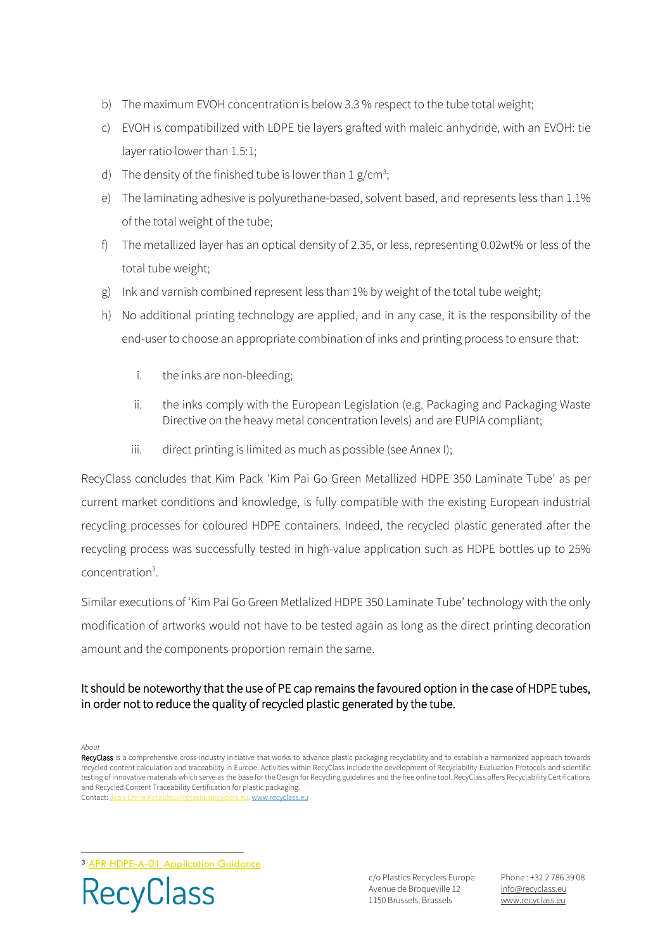- b) The maximum EVOH concentration is below 3.3 % respect to the tube total weight;
- c) EVOH is compatibilized with LDPE tie layers grafted with maleic anhydride, with an EVOH: tie layer ratio lower than 1.5:1;
- d) The density of the finished tube is lower than  $1 g/cm^3$ ;
- e) The laminating adhesive is polyurethane-based, solvent based, and represents less than 1.1% of the total weight of the tube;
- f) The metallized layer has an optical density of 2.35, or less, representing 0.02wt% or less of the total tube weight;
- g) Ink and varnish combined represent less than 1% by weight of the total tube weight;
- h) No additional printing technology are applied, and in any case, it is the responsibility of the end-user to choose an appropriate combination of inks and printing process to ensure that:
	- i. the inks are non-bleeding;
	- ii. the inks comply with the European Legislation (e.g. Packaging and Packaging Waste Directive on the heavy metal concentration levels) and are EUPIA compliant;
	- iii. direct printing is limited as much as possible (see Annex I);

RecyClass concludes that Kim Pack 'Kim Pai Go Green Metallized HDPE 350 Laminate Tube' as per current market conditions and knowledge, is fully compatible with the existing European industrial recycling processes for coloured HDPE containers. Indeed, the recycled plastic generated after the recycling process was successfully tested in high-value application such as HDPE bottles up to 25% concentration<sup>3</sup>.

Similar executions of 'Kim Pai Go Green Metlalized HDPE 350 Laminate Tube' technology with the only modification of artworks would not have to be tested again as long as the direct printing decoration amount and the components proportion remain the same.

## It should be noteworthy that the use of PE cap remains the favoured option in the case of HDPE tubes, in order not to reduce the quality of recycled plastic generated by the tube.

*About*

<sup>3</sup> APR HDPE-A-01 [Application Guidance](https://plasticsrecycling.org/hdpe-test-methods)



c/o Plastics Recyclers Europe Avenue de Broqueville 12 1150 Brussels, Brussels

Phone : +32 2 786 39 08 info[@recyclass.eu](mailto:recyclass@plasticsrecyclers.eu) www.recyclass.eu

RecyClass is a comprehensive cross-industry initiative that works to advance plastic packaging recyclability and to establish a harmonized approach towards recycled content calculation and traceability in Europe. Activities within RecyClass include the development of Recyclability Evaluation Protocols and scientific testing of innovative materials which serve as the base for the Design for Recycling guidelines and the free online tool. RecyClass offers Recyclability Certifications and Recycled Content Traceability Certification for plastic packaging. Contact: